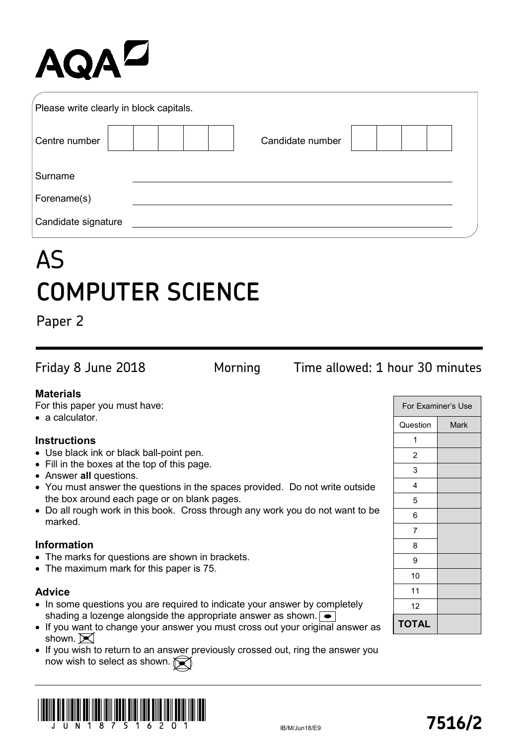# AQAZ

|                     | Please write clearly in block capitals. |                  |  |
|---------------------|-----------------------------------------|------------------|--|
| Centre number       |                                         | Candidate number |  |
| Surname             |                                         |                  |  |
| Forename(s)         |                                         |                  |  |
| Candidate signature |                                         |                  |  |

## AS **COMPUTER SCIENCE**

Paper 2

### Friday 8 June 2018 Morning Time allowed: 1 hour 30 minutes

For Examiner's Use

Question Mark

#### **Materials**

For this paper you must have:

• a calculator.

#### **Instructions**

- Use black ink or black ball-point pen.
- Fill in the boxes at the top of this page.
- Answer **all** questions.
- You must answer the questions in the spaces provided. Do not write outside the box around each page or on blank pages.
- Do all rough work in this book. Cross through any work you do not want to be marked.

#### **Information**

- The marks for questions are shown in brackets.
- The maximum mark for this paper is 75.

#### **Advice**

- In some questions you are required to indicate your answer by completely shading a lozenge alongside the appropriate answer as shown.  $\bullet$
- If you want to change your answer you must cross out your original answer as shown.  $\blacktriangleright$
- If you wish to return to an answer previously crossed out, ring the answer you now wish to select as shown.  $\circledast$



**TOTAL**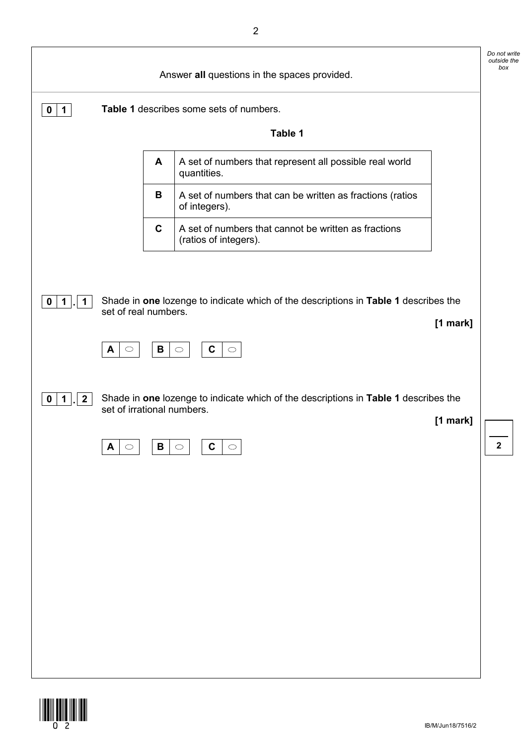|                              |                                                                                               |                   | Answer all questions in the spaces provided.                                                                                                                                                                                                                                                                 | Do not write<br>outside the<br>box |
|------------------------------|-----------------------------------------------------------------------------------------------|-------------------|--------------------------------------------------------------------------------------------------------------------------------------------------------------------------------------------------------------------------------------------------------------------------------------------------------------|------------------------------------|
| $\mathbf 1$<br>$\mathbf 0$   |                                                                                               |                   | Table 1 describes some sets of numbers.                                                                                                                                                                                                                                                                      |                                    |
|                              |                                                                                               |                   | Table 1                                                                                                                                                                                                                                                                                                      |                                    |
|                              |                                                                                               | A                 | A set of numbers that represent all possible real world<br>quantities.                                                                                                                                                                                                                                       |                                    |
|                              |                                                                                               | B                 | A set of numbers that can be written as fractions (ratios<br>of integers).                                                                                                                                                                                                                                   |                                    |
|                              |                                                                                               | $\mathbf C$       | A set of numbers that cannot be written as fractions<br>(ratios of integers).                                                                                                                                                                                                                                |                                    |
| 0<br>$\mathbf{2}$<br>0<br>1. | set of real numbers.<br>A<br>$\circ$<br>set of irrational numbers.<br>$\mathbf{A}$<br>$\circ$ | B<br>$\mathbf{B}$ | Shade in one lozenge to indicate which of the descriptions in Table 1 describes the<br>[1 mark]<br>$\mathbf c$<br>$\circ$<br>$\circlearrowright$<br>Shade in one lozenge to indicate which of the descriptions in Table 1 describes the<br>[1 mark]<br>$\vert \mathbf{c} \vert \circ$<br>$\circlearrowright$ | 2                                  |

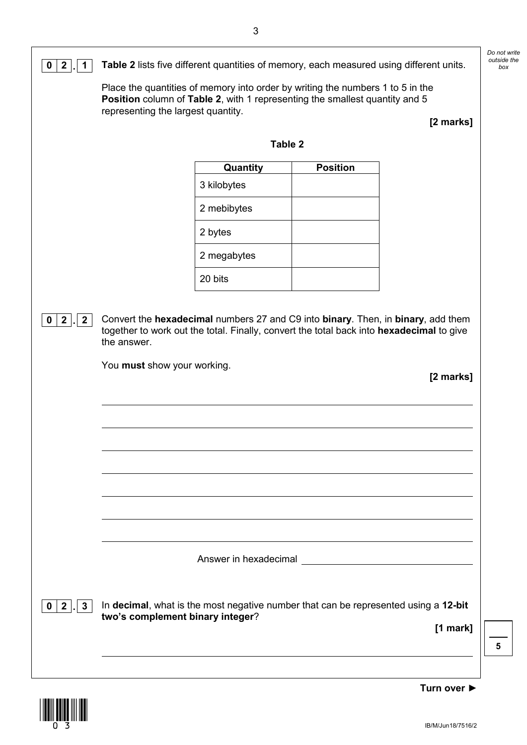| $\mathbf{2}$<br>0<br>1. |                                    |                | Table 2 lists five different quantities of memory, each measured using different units.                                                                       |           | Do not write<br>outside the<br>box |
|-------------------------|------------------------------------|----------------|---------------------------------------------------------------------------------------------------------------------------------------------------------------|-----------|------------------------------------|
|                         | representing the largest quantity. |                | Place the quantities of memory into order by writing the numbers 1 to 5 in the<br>Position column of Table 2, with 1 representing the smallest quantity and 5 |           |                                    |
|                         |                                    |                |                                                                                                                                                               | [2 marks] |                                    |
|                         |                                    | <b>Table 2</b> |                                                                                                                                                               |           |                                    |
|                         |                                    | Quantity       | <b>Position</b>                                                                                                                                               |           |                                    |
|                         |                                    | 3 kilobytes    |                                                                                                                                                               |           |                                    |
|                         |                                    | 2 mebibytes    |                                                                                                                                                               |           |                                    |
|                         |                                    | 2 bytes        |                                                                                                                                                               |           |                                    |
|                         |                                    | 2 megabytes    |                                                                                                                                                               |           |                                    |
|                         |                                    | 20 bits        |                                                                                                                                                               |           |                                    |
|                         |                                    |                |                                                                                                                                                               |           |                                    |
|                         |                                    |                |                                                                                                                                                               | [2 marks] |                                    |
|                         |                                    |                | Answer in hexadecimal <b>contained Answer</b> in hexadecimal                                                                                                  |           |                                    |

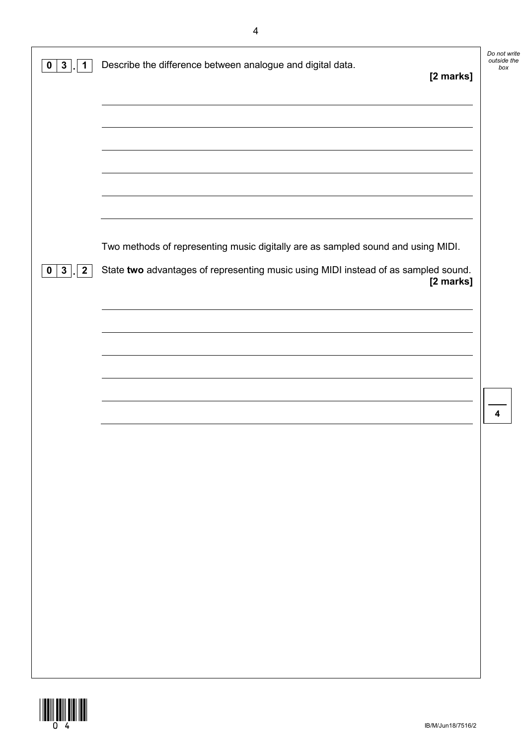| $\mathbf{3}$<br>0<br>$\mathbf 1$              | Describe the difference between analogue and digital data.<br>[2 marks]                         | Do not write<br>outside the<br>box |
|-----------------------------------------------|-------------------------------------------------------------------------------------------------|------------------------------------|
|                                               |                                                                                                 |                                    |
|                                               |                                                                                                 |                                    |
|                                               | Two methods of representing music digitally are as sampled sound and using MIDI.                |                                    |
| $\mathbf{3}$<br>$\overline{2}$<br>$\mathbf 0$ | State two advantages of representing music using MIDI instead of as sampled sound.<br>[2 marks] |                                    |
|                                               |                                                                                                 |                                    |
|                                               |                                                                                                 |                                    |
|                                               |                                                                                                 | 4                                  |
|                                               |                                                                                                 |                                    |
|                                               |                                                                                                 |                                    |
|                                               |                                                                                                 |                                    |
|                                               |                                                                                                 |                                    |
|                                               |                                                                                                 |                                    |

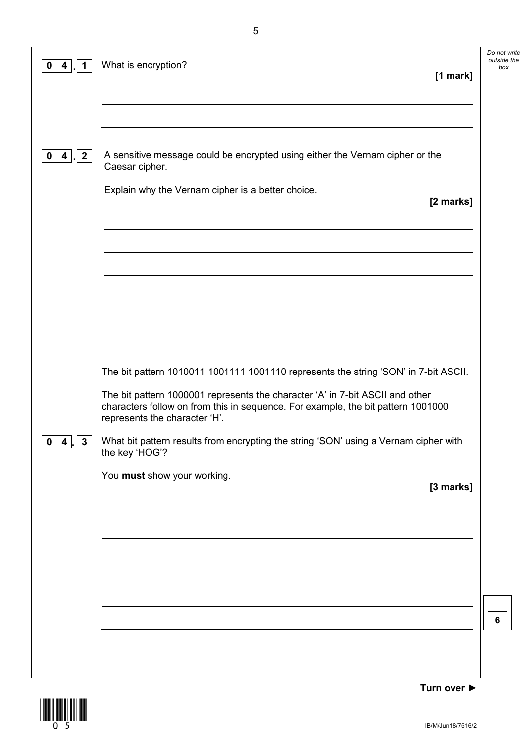| A sensitive message could be encrypted using either the Vernam cipher or the<br>$\mathbf{2}$<br>4<br>Caesar cipher.<br>Explain why the Vernam cipher is a better choice.<br>[2 marks]<br>The bit pattern 1010011 1001111 1001110 represents the string 'SON' in 7-bit ASCII.<br>The bit pattern 1000001 represents the character 'A' in 7-bit ASCII and other<br>characters follow on from this in sequence. For example, the bit pattern 1001000<br>represents the character 'H'.<br>What bit pattern results from encrypting the string 'SON' using a Vernam cipher with<br>the key 'HOG'?<br>You must show your working. | $\mathbf 0$<br>4<br>$\mathbf 1$ | What is encryption?<br>[1 mark] |
|-----------------------------------------------------------------------------------------------------------------------------------------------------------------------------------------------------------------------------------------------------------------------------------------------------------------------------------------------------------------------------------------------------------------------------------------------------------------------------------------------------------------------------------------------------------------------------------------------------------------------------|---------------------------------|---------------------------------|
| [3 marks]                                                                                                                                                                                                                                                                                                                                                                                                                                                                                                                                                                                                                   | $\mathbf 0$                     |                                 |
|                                                                                                                                                                                                                                                                                                                                                                                                                                                                                                                                                                                                                             |                                 |                                 |
|                                                                                                                                                                                                                                                                                                                                                                                                                                                                                                                                                                                                                             |                                 |                                 |
|                                                                                                                                                                                                                                                                                                                                                                                                                                                                                                                                                                                                                             | 0  4   3                        |                                 |
|                                                                                                                                                                                                                                                                                                                                                                                                                                                                                                                                                                                                                             |                                 |                                 |
|                                                                                                                                                                                                                                                                                                                                                                                                                                                                                                                                                                                                                             |                                 |                                 |
|                                                                                                                                                                                                                                                                                                                                                                                                                                                                                                                                                                                                                             |                                 |                                 |
|                                                                                                                                                                                                                                                                                                                                                                                                                                                                                                                                                                                                                             |                                 |                                 |

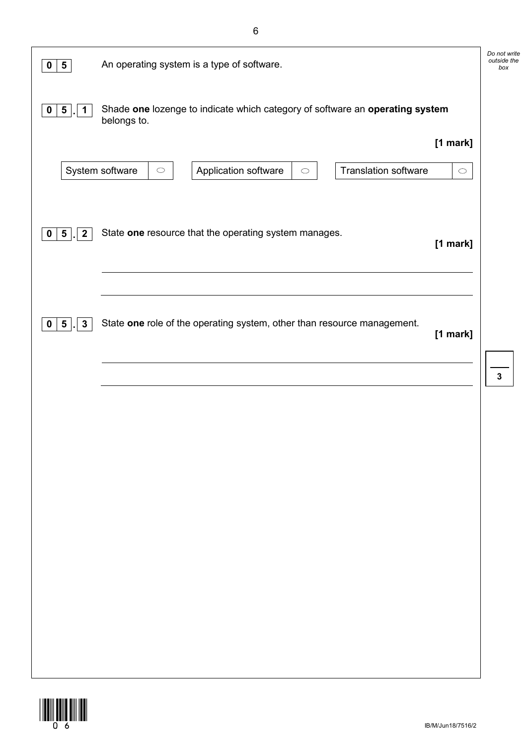| $5\phantom{.0}$<br>0                                   | An operating system is a type of software.                                                                                   | Do not write<br>outside the<br>box |
|--------------------------------------------------------|------------------------------------------------------------------------------------------------------------------------------|------------------------------------|
| $\overline{\mathbf{5}}$<br>$\mathbf{0}$<br>$\mathbf 1$ | Shade one lozenge to indicate which category of software an operating system<br>belongs to.                                  |                                    |
|                                                        | [1 mark]<br>Application software<br><b>Translation software</b><br>System software<br>$\bigcirc$<br>$\bigcirc$<br>$\bigcirc$ |                                    |
| $\overline{2}$<br>$5\phantom{.0}$<br>0                 | State one resource that the operating system manages.<br>$[1$ mark]                                                          |                                    |
| 5 <sub>1</sub><br>$\mathbf{3}$<br>$\mathbf{0}$         | State one role of the operating system, other than resource management.<br>[1 mark]                                          |                                    |
|                                                        |                                                                                                                              | $\mathbf 3$                        |
|                                                        |                                                                                                                              |                                    |
|                                                        |                                                                                                                              |                                    |
|                                                        |                                                                                                                              |                                    |
|                                                        |                                                                                                                              |                                    |
|                                                        |                                                                                                                              |                                    |



 $\mathbf{I}$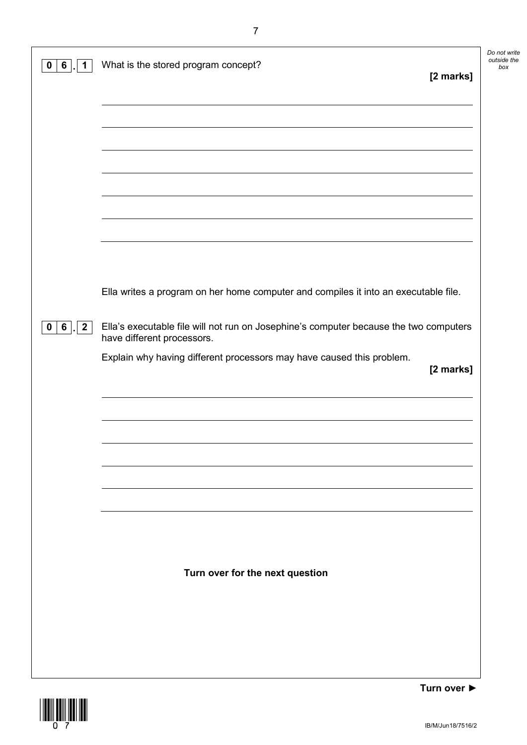| 6<br>0<br>1                            | What is the stored program concept?<br>[2 marks]                                                                    | Do not write<br>outside the<br>box |
|----------------------------------------|---------------------------------------------------------------------------------------------------------------------|------------------------------------|
|                                        |                                                                                                                     |                                    |
|                                        |                                                                                                                     |                                    |
|                                        |                                                                                                                     |                                    |
|                                        |                                                                                                                     |                                    |
|                                        |                                                                                                                     |                                    |
|                                        | Ella writes a program on her home computer and compiles it into an executable file.                                 |                                    |
| $\overline{2}$<br>$6\overline{6}$<br>0 | Ella's executable file will not run on Josephine's computer because the two computers<br>have different processors. |                                    |
|                                        | Explain why having different processors may have caused this problem.<br>[2 marks]                                  |                                    |
|                                        |                                                                                                                     |                                    |
|                                        |                                                                                                                     |                                    |
|                                        |                                                                                                                     |                                    |
|                                        |                                                                                                                     |                                    |
|                                        |                                                                                                                     |                                    |
|                                        | Turn over for the next question                                                                                     |                                    |
|                                        |                                                                                                                     |                                    |
|                                        |                                                                                                                     |                                    |



*Do not write*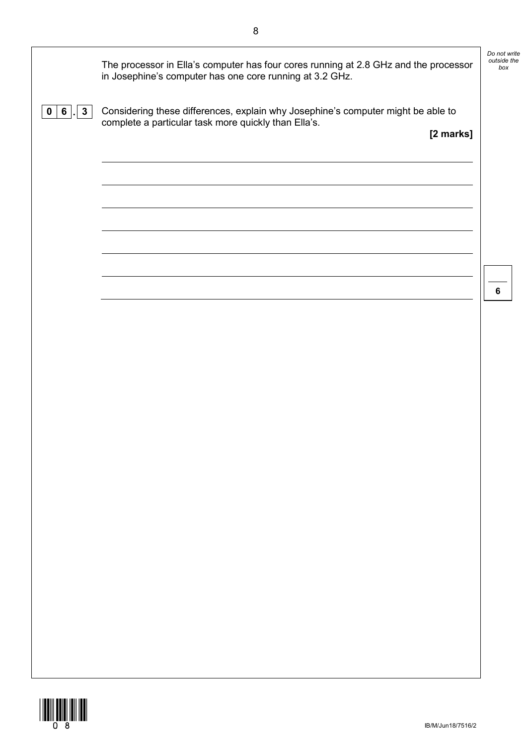|                       | The processor in Ella's computer has four cores running at 2.8 GHz and the processor<br>in Josephine's computer has one core running at 3.2 GHz.      | Do not write<br>outside the<br>box |
|-----------------------|-------------------------------------------------------------------------------------------------------------------------------------------------------|------------------------------------|
| 0   6<br>$\mathbf{3}$ | Considering these differences, explain why Josephine's computer might be able to<br>complete a particular task more quickly than Ella's.<br>[2 marks] |                                    |
|                       |                                                                                                                                                       |                                    |
|                       |                                                                                                                                                       |                                    |
|                       |                                                                                                                                                       |                                    |
|                       |                                                                                                                                                       |                                    |
|                       |                                                                                                                                                       |                                    |
|                       |                                                                                                                                                       |                                    |
|                       |                                                                                                                                                       | 6                                  |
|                       |                                                                                                                                                       |                                    |
|                       |                                                                                                                                                       |                                    |
|                       |                                                                                                                                                       |                                    |
|                       |                                                                                                                                                       |                                    |
|                       |                                                                                                                                                       |                                    |
|                       |                                                                                                                                                       |                                    |
|                       |                                                                                                                                                       |                                    |
|                       |                                                                                                                                                       |                                    |
|                       |                                                                                                                                                       |                                    |
|                       |                                                                                                                                                       |                                    |
|                       |                                                                                                                                                       |                                    |
|                       |                                                                                                                                                       |                                    |
|                       |                                                                                                                                                       |                                    |
|                       |                                                                                                                                                       |                                    |
|                       |                                                                                                                                                       |                                    |
|                       |                                                                                                                                                       |                                    |
|                       |                                                                                                                                                       |                                    |
|                       |                                                                                                                                                       |                                    |
|                       |                                                                                                                                                       |                                    |

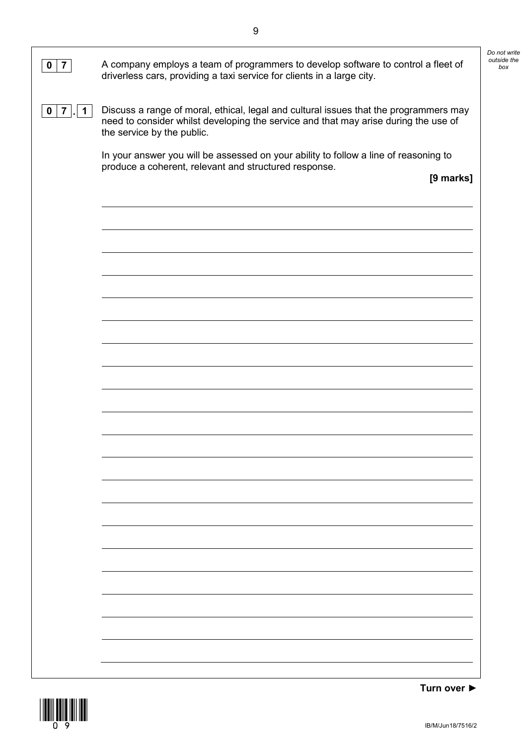| $\overline{7}$<br>$\mathbf 0$ | A company employs a team of programmers to develop software to control a fleet of<br>driverless cars, providing a taxi service for clients in a large city.                                                | Do not write<br>outside the<br>box |
|-------------------------------|------------------------------------------------------------------------------------------------------------------------------------------------------------------------------------------------------------|------------------------------------|
| 7<br>0                        | Discuss a range of moral, ethical, legal and cultural issues that the programmers may<br>need to consider whilst developing the service and that may arise during the use of<br>the service by the public. |                                    |
|                               | In your answer you will be assessed on your ability to follow a line of reasoning to<br>produce a coherent, relevant and structured response.<br>[9 marks]                                                 |                                    |
|                               |                                                                                                                                                                                                            |                                    |
|                               |                                                                                                                                                                                                            |                                    |
|                               |                                                                                                                                                                                                            |                                    |
|                               |                                                                                                                                                                                                            |                                    |
|                               |                                                                                                                                                                                                            |                                    |
|                               |                                                                                                                                                                                                            |                                    |
|                               |                                                                                                                                                                                                            |                                    |
|                               |                                                                                                                                                                                                            |                                    |
|                               |                                                                                                                                                                                                            |                                    |
|                               |                                                                                                                                                                                                            |                                    |
|                               |                                                                                                                                                                                                            |                                    |
|                               |                                                                                                                                                                                                            |                                    |



**Turn over ►**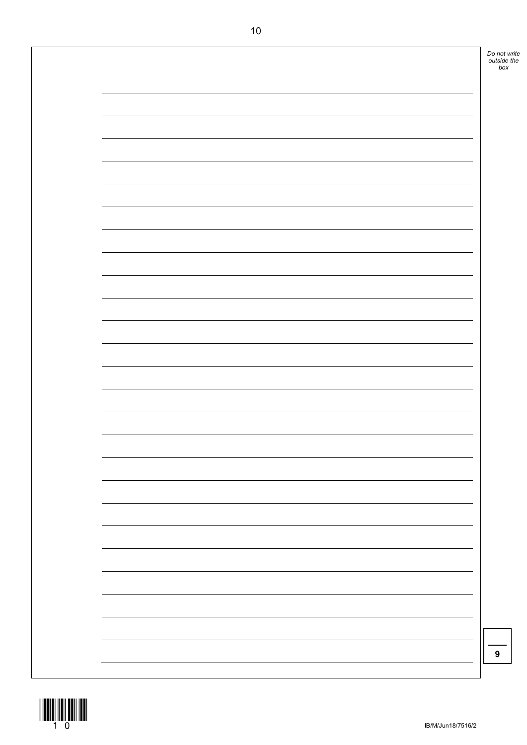

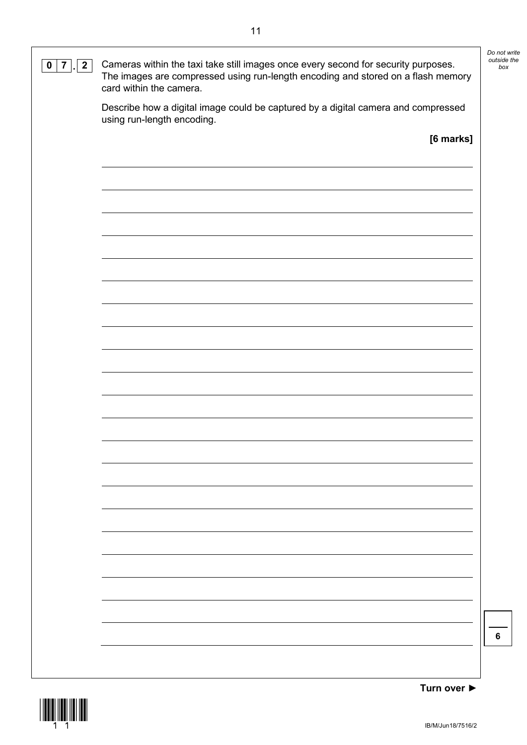| $\mathbf{2}$<br>$\overline{7}$<br>$\mathbf 0$ | Cameras within the taxi take still images once every second for security purposes.<br>The images are compressed using run-length encoding and stored on a flash memory<br>card within the camera. | Do not write<br>outside the<br>box |
|-----------------------------------------------|---------------------------------------------------------------------------------------------------------------------------------------------------------------------------------------------------|------------------------------------|
|                                               | Describe how a digital image could be captured by a digital camera and compressed<br>using run-length encoding.                                                                                   |                                    |
|                                               | [6 marks]                                                                                                                                                                                         |                                    |
|                                               |                                                                                                                                                                                                   |                                    |
|                                               |                                                                                                                                                                                                   |                                    |
|                                               |                                                                                                                                                                                                   |                                    |
|                                               |                                                                                                                                                                                                   |                                    |
|                                               |                                                                                                                                                                                                   |                                    |
|                                               |                                                                                                                                                                                                   |                                    |
|                                               |                                                                                                                                                                                                   |                                    |
|                                               |                                                                                                                                                                                                   |                                    |
|                                               |                                                                                                                                                                                                   |                                    |
|                                               |                                                                                                                                                                                                   |                                    |
|                                               |                                                                                                                                                                                                   |                                    |
|                                               |                                                                                                                                                                                                   |                                    |
|                                               |                                                                                                                                                                                                   |                                    |
|                                               |                                                                                                                                                                                                   |                                    |
|                                               |                                                                                                                                                                                                   |                                    |
|                                               |                                                                                                                                                                                                   |                                    |
|                                               |                                                                                                                                                                                                   | 6                                  |
|                                               |                                                                                                                                                                                                   |                                    |
|                                               | Turn over $\blacktriangleright$                                                                                                                                                                   |                                    |

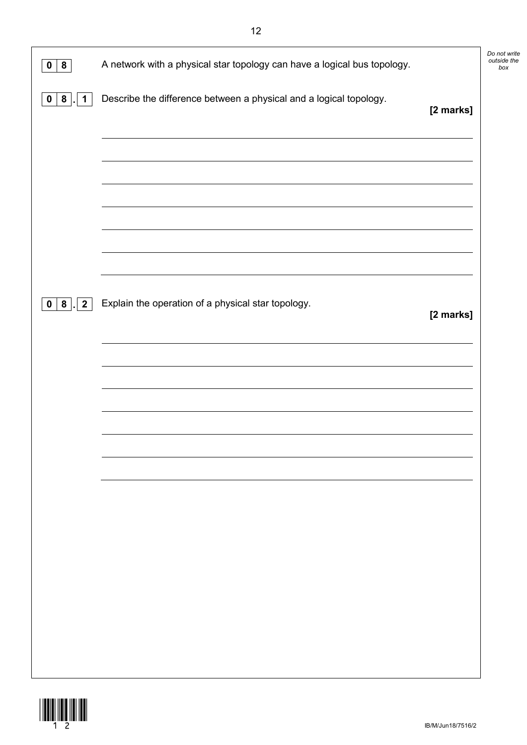| 8<br>$\mathbf 0$                | A network with a physical star topology can have a logical bus topology.         |           | Do not write<br>outside the<br>box |
|---------------------------------|----------------------------------------------------------------------------------|-----------|------------------------------------|
| 8<br>$\mathbf 1$<br>$\mathbf 0$ | Describe the difference between a physical and a logical topology.               | [2 marks] |                                    |
|                                 |                                                                                  |           |                                    |
|                                 |                                                                                  |           |                                    |
|                                 |                                                                                  |           |                                    |
|                                 | ,我们也不会有什么。""我们的人,我们也不会有什么?""我们的人,我们也不会有什么?""我们的人,我们也不会有什么?""我们的人,我们也不会有什么?""我们的人 |           |                                    |
| $\vert$ 2<br> 8 <br>$\mathbf 0$ | Explain the operation of a physical star topology.                               | [2 marks] |                                    |
|                                 |                                                                                  |           |                                    |
|                                 |                                                                                  |           |                                    |
|                                 |                                                                                  |           |                                    |
|                                 |                                                                                  |           |                                    |
|                                 |                                                                                  |           |                                    |
|                                 |                                                                                  |           |                                    |
|                                 |                                                                                  |           |                                    |
|                                 |                                                                                  |           |                                    |
|                                 |                                                                                  |           |                                    |



 $\mathbf{I}$ 

*Do not write*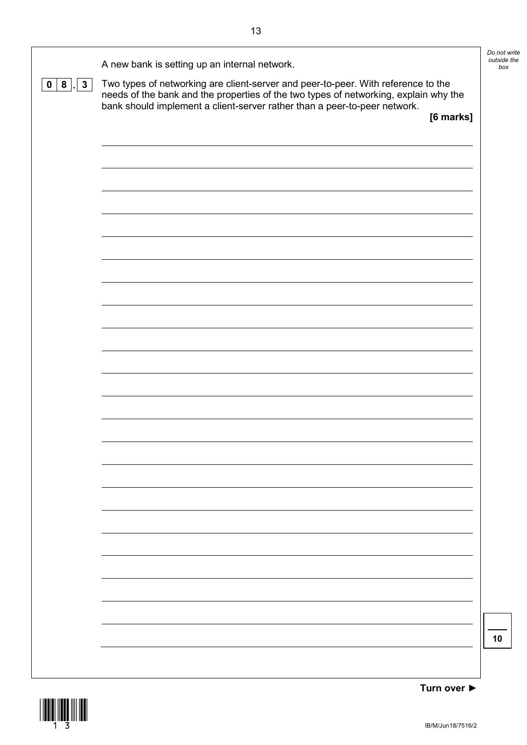|                                                | A new bank is setting up an internal network.                                                                                                                                                                                                          |           |
|------------------------------------------------|--------------------------------------------------------------------------------------------------------------------------------------------------------------------------------------------------------------------------------------------------------|-----------|
| $\vert 8 \vert . \vert 3 \vert$<br>$\mathbf 0$ | Two types of networking are client-server and peer-to-peer. With reference to the<br>needs of the bank and the properties of the two types of networking, explain why the<br>bank should implement a client-server rather than a peer-to-peer network. |           |
|                                                |                                                                                                                                                                                                                                                        | [6 marks] |
|                                                |                                                                                                                                                                                                                                                        |           |
|                                                |                                                                                                                                                                                                                                                        |           |
|                                                |                                                                                                                                                                                                                                                        |           |
|                                                |                                                                                                                                                                                                                                                        |           |
|                                                |                                                                                                                                                                                                                                                        |           |
|                                                |                                                                                                                                                                                                                                                        |           |
|                                                |                                                                                                                                                                                                                                                        |           |
|                                                |                                                                                                                                                                                                                                                        |           |
|                                                |                                                                                                                                                                                                                                                        |           |
|                                                |                                                                                                                                                                                                                                                        |           |
|                                                |                                                                                                                                                                                                                                                        |           |
|                                                |                                                                                                                                                                                                                                                        |           |
|                                                |                                                                                                                                                                                                                                                        |           |
|                                                |                                                                                                                                                                                                                                                        |           |
|                                                |                                                                                                                                                                                                                                                        |           |
|                                                |                                                                                                                                                                                                                                                        |           |
|                                                |                                                                                                                                                                                                                                                        |           |
|                                                |                                                                                                                                                                                                                                                        |           |
|                                                |                                                                                                                                                                                                                                                        |           |
|                                                |                                                                                                                                                                                                                                                        |           |
|                                                |                                                                                                                                                                                                                                                        |           |
|                                                |                                                                                                                                                                                                                                                        |           |
|                                                |                                                                                                                                                                                                                                                        |           |
|                                                |                                                                                                                                                                                                                                                        |           |

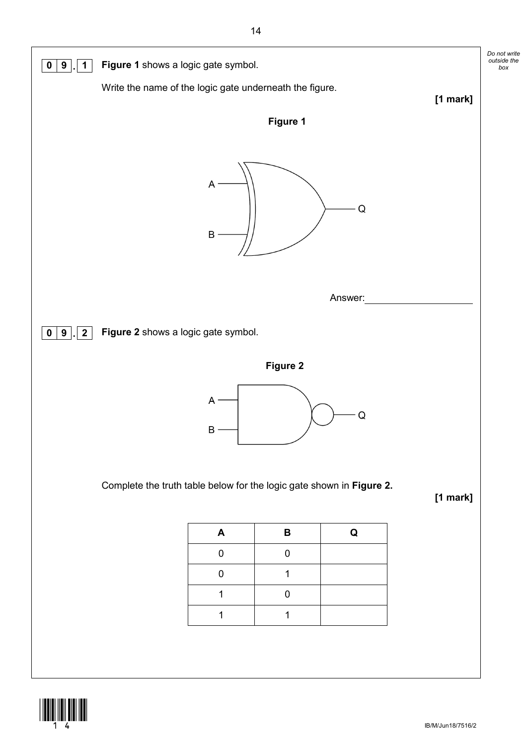

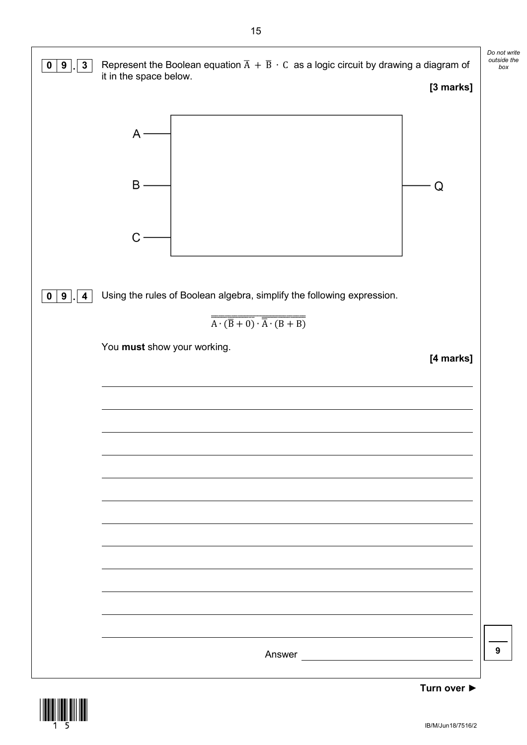

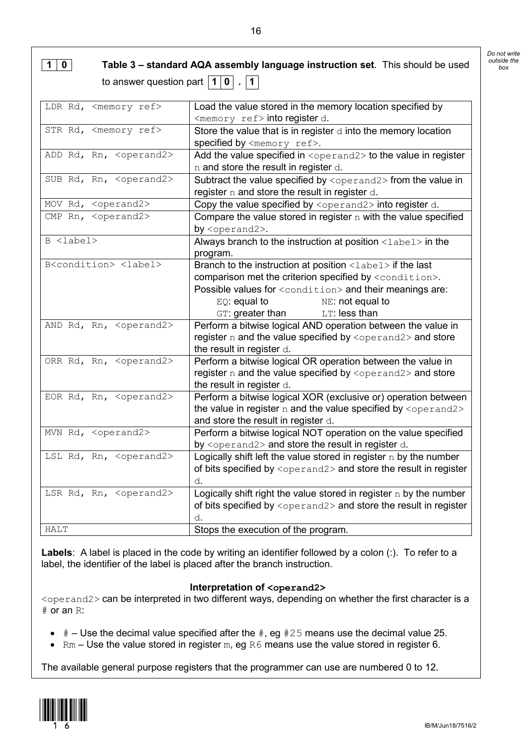| $\mathbf 0$<br>$\mathbf 1$                | Table 3 - standard AQA assembly language instruction set. This should be used |  |
|-------------------------------------------|-------------------------------------------------------------------------------|--|
| to answer question part $ 1 0 $ .         |                                                                               |  |
|                                           |                                                                               |  |
| LDR Rd, <memory ref=""></memory>          | Load the value stored in the memory location specified by                     |  |
|                                           | <memory ref=""> into register d.</memory>                                     |  |
| STR Rd, <memory ref=""></memory>          | Store the value that is in register $d$ into the memory location              |  |
|                                           | specified by <memory ref="">.</memory>                                        |  |
| ADD Rd, Rn, <operand2></operand2>         | Add the value specified in <operand2> to the value in register</operand2>     |  |
|                                           | n and store the result in register $d$ .                                      |  |
| SUB Rd, Rn, <operand2></operand2>         | Subtract the value specified by <operand2> from the value in</operand2>       |  |
|                                           | register $n$ and store the result in register $d$ .                           |  |
| MOV Rd, <operand2></operand2>             | Copy the value specified by $\langle$ operand2> into register d.              |  |
| CMP Rn, <operand2></operand2>             | Compare the value stored in register $n$ with the value specified             |  |
|                                           | by $<$ operand2>.                                                             |  |
| B <label></label>                         | Always branch to the instruction at position <label> in the</label>           |  |
|                                           | program.                                                                      |  |
| B <condition> <label></label></condition> | Branch to the instruction at position <label> if the last</label>             |  |
|                                           | comparison met the criterion specified by <condition>.</condition>            |  |
|                                           | Possible values for <condition> and their meanings are:</condition>           |  |
|                                           | $EQ$ : equal to<br>NE: not equal to                                           |  |
|                                           | LT: less than<br>GT: greater than                                             |  |
| AND Rd, Rn, <operand2></operand2>         | Perform a bitwise logical AND operation between the value in                  |  |
|                                           | register n and the value specified by <operand2> and store</operand2>         |  |
|                                           | the result in register $d$ .                                                  |  |
| ORR Rd, Rn, <operand2></operand2>         | Perform a bitwise logical OR operation between the value in                   |  |
|                                           | register n and the value specified by <operand2> and store</operand2>         |  |
|                                           | the result in register $d$ .                                                  |  |
| EOR Rd, Rn, <operand2></operand2>         | Perform a bitwise logical XOR (exclusive or) operation between                |  |
|                                           | the value in register $n$ and the value specified by $\langle$ operand2>      |  |
|                                           | and store the result in register $d$ .                                        |  |
| MVN Rd, <operand2></operand2>             | Perform a bitwise logical NOT operation on the value specified                |  |
|                                           | by <operand2> and store the result in register d.</operand2>                  |  |
| LSL Rd, Rn, <operand2></operand2>         | Logically shift left the value stored in register $n$ by the number           |  |
|                                           | of bits specified by <operand2> and store the result in register</operand2>   |  |
|                                           | d.                                                                            |  |
| LSR Rd, Rn, <operand2></operand2>         | Logically shift right the value stored in register $n$ by the number          |  |
|                                           | of bits specified by <operand2> and store the result in register</operand2>   |  |
|                                           | d.                                                                            |  |
| HALT                                      | Stops the execution of the program.                                           |  |
|                                           |                                                                               |  |

**Labels**: A label is placed in the code by writing an identifier followed by a colon (:). To refer to a label, the identifier of the label is placed after the branch instruction.

#### **Interpretation of <operand2>**

<operand2> can be interpreted in two different ways, depending on whether the first character is a # or an R:

- $\bullet$  # Use the decimal value specified after the  $\#$ , eg  $\#25$  means use the decimal value 25.
- $Rm Use$  the value stored in register m, eg R6 means use the value stored in register 6.

The available general purpose registers that the programmer can use are numbered 0 to 12.

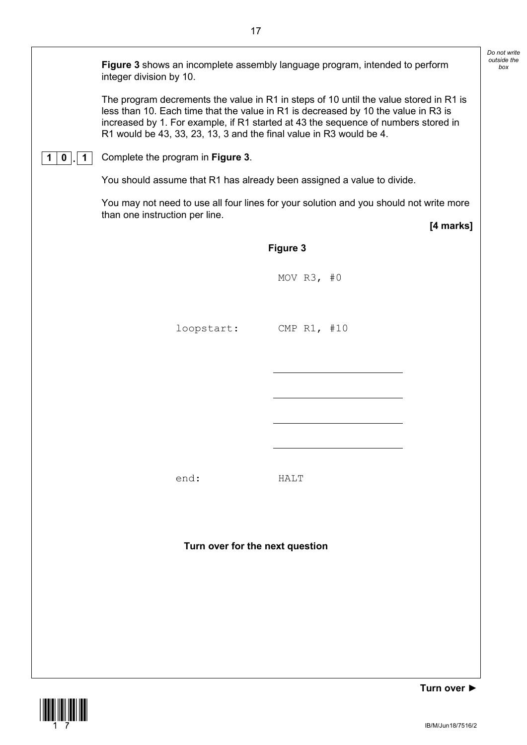| Figure 3 shows an incomplete assembly language program, intended to perform |                                                                                                                                                                                                                                                                                                                                          |               |  | Do not write<br>outside the<br>box |
|-----------------------------------------------------------------------------|------------------------------------------------------------------------------------------------------------------------------------------------------------------------------------------------------------------------------------------------------------------------------------------------------------------------------------------|---------------|--|------------------------------------|
|                                                                             | integer division by 10.                                                                                                                                                                                                                                                                                                                  |               |  |                                    |
|                                                                             | The program decrements the value in R1 in steps of 10 until the value stored in R1 is<br>less than 10. Each time that the value in R1 is decreased by 10 the value in R3 is<br>increased by 1. For example, if R1 started at 43 the sequence of numbers stored in<br>R1 would be 43, 33, 23, 13, 3 and the final value in R3 would be 4. |               |  |                                    |
| $\mathbf 0$<br>1                                                            | Complete the program in Figure 3.                                                                                                                                                                                                                                                                                                        |               |  |                                    |
|                                                                             | You should assume that R1 has already been assigned a value to divide.                                                                                                                                                                                                                                                                   |               |  |                                    |
|                                                                             | You may not need to use all four lines for your solution and you should not write more<br>than one instruction per line.<br>[4 marks]                                                                                                                                                                                                    |               |  |                                    |
|                                                                             |                                                                                                                                                                                                                                                                                                                                          |               |  |                                    |
|                                                                             |                                                                                                                                                                                                                                                                                                                                          | Figure 3      |  |                                    |
|                                                                             |                                                                                                                                                                                                                                                                                                                                          | MOV $R3$ , #0 |  |                                    |
|                                                                             | loopstart:                                                                                                                                                                                                                                                                                                                               | CMP R1, #10   |  |                                    |
|                                                                             |                                                                                                                                                                                                                                                                                                                                          |               |  |                                    |
|                                                                             |                                                                                                                                                                                                                                                                                                                                          |               |  |                                    |
|                                                                             |                                                                                                                                                                                                                                                                                                                                          |               |  |                                    |
|                                                                             |                                                                                                                                                                                                                                                                                                                                          |               |  |                                    |
|                                                                             | end:                                                                                                                                                                                                                                                                                                                                     | HALT          |  |                                    |
|                                                                             |                                                                                                                                                                                                                                                                                                                                          |               |  |                                    |
|                                                                             |                                                                                                                                                                                                                                                                                                                                          |               |  |                                    |
|                                                                             | Turn over for the next question                                                                                                                                                                                                                                                                                                          |               |  |                                    |
|                                                                             |                                                                                                                                                                                                                                                                                                                                          |               |  |                                    |
|                                                                             |                                                                                                                                                                                                                                                                                                                                          |               |  |                                    |
|                                                                             |                                                                                                                                                                                                                                                                                                                                          |               |  |                                    |
|                                                                             |                                                                                                                                                                                                                                                                                                                                          |               |  |                                    |
|                                                                             |                                                                                                                                                                                                                                                                                                                                          |               |  |                                    |

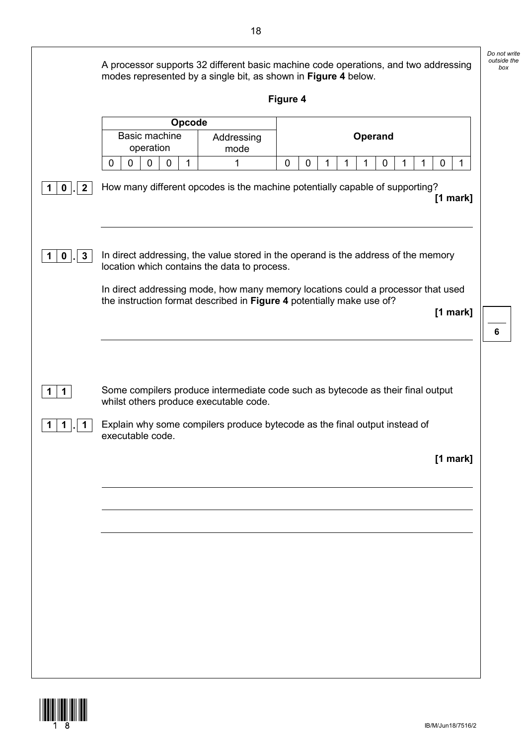|                   | modes represented by a single bit, as shown in Figure 4 below.                                                                           | A processor supports 32 different basic machine code operations, and two addressing                                                                                    | Do not write<br>outside the<br>box |
|-------------------|------------------------------------------------------------------------------------------------------------------------------------------|------------------------------------------------------------------------------------------------------------------------------------------------------------------------|------------------------------------|
|                   | Figure 4                                                                                                                                 |                                                                                                                                                                        |                                    |
|                   | <b>Opcode</b><br>Basic machine<br>Addressing<br>operation<br>mode                                                                        | Operand                                                                                                                                                                |                                    |
|                   | $\mathbf 0$<br>$\mathbf 0$<br>$\mathbf 0$<br>$\mathbf 1$<br>1<br>$\mathbf 0$                                                             | 0<br>0<br>1<br>1<br>1<br>0<br>1<br>0<br>1                                                                                                                              |                                    |
| $\mathbf{2}$<br>0 | How many different opcodes is the machine potentially capable of supporting?                                                             | $[1$ mark]                                                                                                                                                             |                                    |
| 3<br>0            | location which contains the data to process.                                                                                             | In direct addressing, the value stored in the operand is the address of the memory<br>In direct addressing mode, how many memory locations could a processor that used |                                    |
|                   | the instruction format described in Figure 4 potentially make use of?                                                                    | $[1$ mark]                                                                                                                                                             | 6                                  |
| $\mathbf 1$<br>1. | whilst others produce executable code.<br>Explain why some compilers produce bytecode as the final output instead of<br>executable code. | Some compilers produce intermediate code such as bytecode as their final output                                                                                        |                                    |
|                   |                                                                                                                                          | $[1$ mark]                                                                                                                                                             |                                    |
|                   |                                                                                                                                          |                                                                                                                                                                        |                                    |
|                   |                                                                                                                                          |                                                                                                                                                                        |                                    |
|                   |                                                                                                                                          |                                                                                                                                                                        |                                    |
|                   |                                                                                                                                          |                                                                                                                                                                        |                                    |
|                   |                                                                                                                                          |                                                                                                                                                                        |                                    |

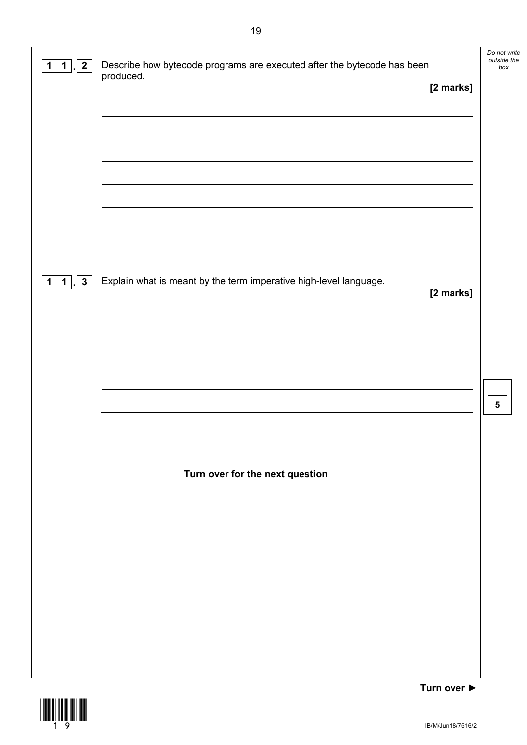| 2 <sup>1</sup><br>$\mathbf{1}$<br>1.      | Describe how bytecode programs are executed after the bytecode has been<br>produced. |           | Do not write<br>outside the<br>box |
|-------------------------------------------|--------------------------------------------------------------------------------------|-----------|------------------------------------|
|                                           |                                                                                      | [2 marks] |                                    |
|                                           |                                                                                      |           |                                    |
|                                           |                                                                                      |           |                                    |
|                                           |                                                                                      |           |                                    |
|                                           |                                                                                      |           |                                    |
|                                           |                                                                                      |           |                                    |
| 3 <sup>1</sup><br>$1$ .<br>1 <sup>1</sup> | Explain what is meant by the term imperative high-level language.                    | [2 marks] |                                    |
|                                           |                                                                                      |           |                                    |
|                                           |                                                                                      |           |                                    |
|                                           |                                                                                      |           |                                    |
|                                           |                                                                                      |           | 5                                  |
|                                           |                                                                                      |           |                                    |
| Turn over for the next question           |                                                                                      |           |                                    |
|                                           |                                                                                      |           |                                    |
|                                           |                                                                                      |           |                                    |
|                                           |                                                                                      |           |                                    |
|                                           |                                                                                      |           |                                    |
|                                           |                                                                                      |           |                                    |
|                                           |                                                                                      |           |                                    |

19